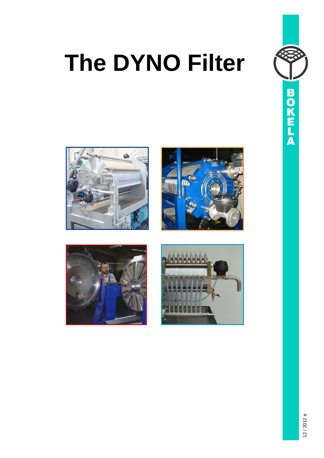

# **The DYNO Filter**









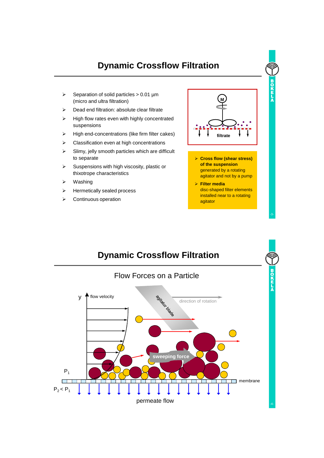## **Dynamic Crossflow Filtration**

- $\geq$  Separation of solid particles  $> 0.01$  µm (micro and ultra filtration)
- Dead end filtration: absolute clear filtrate
- $\triangleright$  High flow rates even with highly concentrated suspensions
- $\triangleright$  High end-concentrations (like firm filter cakes)
- $\triangleright$  Classification even at high concentrations
- $\triangleright$  Slimy, jelly smooth particles which are difficult to separate
- $\triangleright$  Suspensions with high viscosity, plastic or thixotrope characteristics
- Washing
- Hermetically sealed process
- Continuous operation



BOKELA

- **Cross flow (shear stress) of the suspension**  generated by a rotating agitator and not by a pump
- **Filter media** disc-shaped filter elements installed near to a rotating agitator

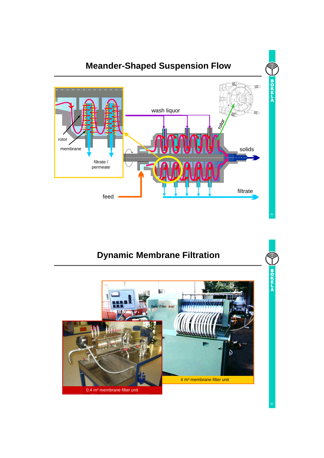

# **Dynamic Membrane Filtration**

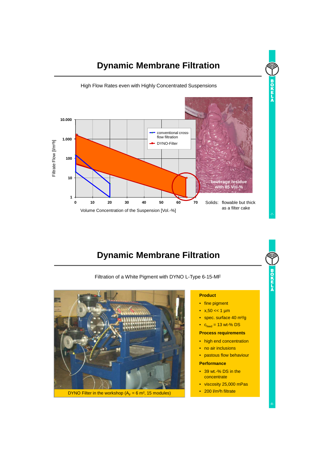

## **Dynamic Membrane Filtration**

Filtration of a White Pigment with DYNO L-Type 6-15-MF



#### **Product**

- fine pigment
- $x,50 < 1 \,\text{µm}$
- spec. surface 40 m<sup>2</sup>/g
- $c_{\text{feed}} = 13 \text{ wt-} \% \text{ DS}$

**Process requirements**

- high end concentration
- no air inclusions
- pastous flow behaviour

#### **Performance**

- 39 wt. -% DS in the concentrate
- viscosity 25,000 mPas
- 

**BOKELA**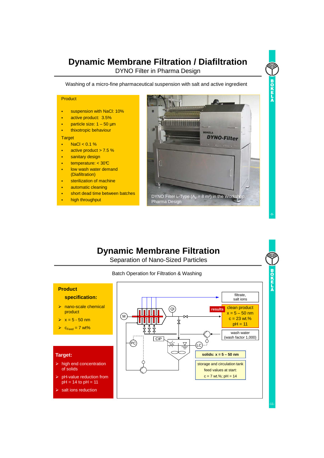## **Dynamic Membrane Filtration / Diafiltration**

DYNO Filter in Pharma Design

Washing of a micro-fine pharmaceutical suspension with salt and active ingredient



## **Dynamic Membrane Filtration**

Separation of Nano-Sized Particles

Batch Operation for Filtration & Washing

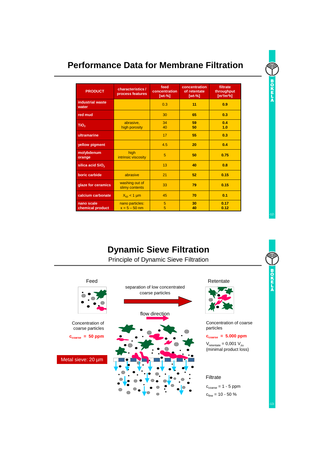## **Performance Data for Membrane Filtration**

**BOKELA** 

| <b>PRODUCT</b>                 | characteristics /<br>process features | feed<br>concentration | concentration<br>of retentate | filtrate<br>throughput                    |
|--------------------------------|---------------------------------------|-----------------------|-------------------------------|-------------------------------------------|
| industrial waste<br>water      |                                       | $[wt-%]$<br>0.3       | $[wt-%]$<br>11                | [m <sup>3</sup> /m <sup>2</sup> h]<br>0.9 |
| red mud                        |                                       | 30                    | 65                            | 0.3                                       |
| TiO <sub>2</sub>               | abrasive,<br>high porosity            | 34<br>40              | 59<br>50                      | 0.4<br>1.0                                |
| ultramarine                    |                                       | 17                    | 55                            | 0.3                                       |
| yellow pigment                 |                                       | 4.5                   | 20                            | 0.4                                       |
| molybdenum<br>orange           | high<br>intrinsic viscosity           | 5                     | 50                            | 0.75                                      |
| silica acid SiO <sub>2</sub>   |                                       | 13                    | 40                            | 0.8                                       |
| boric carbide                  | abrasive                              | 21                    | 52                            | 0.15                                      |
| glaze for ceramics             | washing out of<br>slimy contents      | 33                    | 79                            | 0.15                                      |
| calcium carbonate              | $X_{50}$ < 1 µm                       | 45                    | 70                            | 0.1                                       |
| nano scale<br>chemical product | nano particles:<br>$x = 5 - 50$ nm    | 5<br>5                | 30<br>40                      | 0.17<br>0.12                              |

## **Dynamic Sieve Filtration**

Principle of Dynamic Sieve Filtration

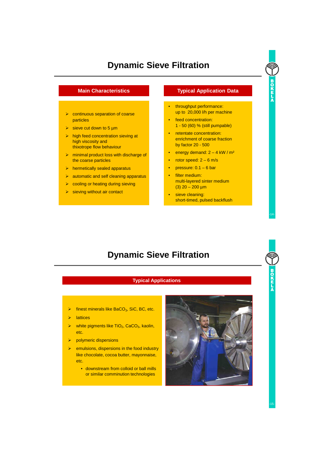## **Dynamic Sieve Filtration**



- $\triangleright$  cooling or heating during sieving
- $\triangleright$  sieving without air contact
- multi-layered sinter medium (3)  $20 - 200$   $\mu$ m

BOKELA

sieve cleaning: short-timed, pulsed backflush

## **Dynamic Sieve Filtration**

#### **Typical Applications**

- finest minerals like  $BaCO<sub>3</sub>$ , SiC, BC, etc.
- lattices
- white pigments like  $TiO<sub>2</sub>$ , CaCO<sub>3</sub>, kaolin, etc.
- polymeric dispersions
- emulsions, dispersions in the food industry like chocolate, cocoa butter, mayonnaise, etc.
	- downstream from colloid or ball mills or similar comminution technologies

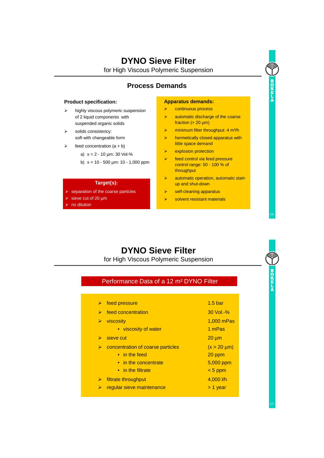## **DYNO Sieve Filter**

for High Viscous Polymeric Suspension

### **Process Demands**

#### **Product specification:**

- $\triangleright$  highly viscous polymeric suspension of 2 liquid components with suspended organic solids
- $\triangleright$  solids consistency: soft with changeable form
- $\triangleright$  feed concentration  $(a + b)$ 
	- a)  $x = 2 10 \mu m$ : 30 Vol-%
	- b)  $x = 10 500 \mu m$ : 10 1,000 ppm

#### **Target(s):**

- separation of the coarse particles
- sieve cut of 20 µm

no dilution

#### **Apparatus demands:**

- > continuous process
- $\blacktriangleright$  automatic discharge of the coarse fraction  $(> 20 \mu m)$

**BOKELA** 

**BOKELA** 

- $\triangleright$  minimum filter throughput: 4 m<sup>3</sup>/h
- **EXECUTE:** hermetically closed apparatus with little space demand
- > explosion protection
- feed control via feed pressure control range: 50 - 100 % of throughput
- > automatic operation, automatic startup and shut-down
- $\triangleright$  self-cleaning apparatus
- $\triangleright$  solvent resistant materials

## **DYNO Sieve Filter**

for High Viscous Polymeric Suspension

| Performance Data of a 12 m <sup>2</sup> DYNO Filter |                    |  |  |  |  |
|-----------------------------------------------------|--------------------|--|--|--|--|
|                                                     |                    |  |  |  |  |
| feed pressure<br>⋗                                  | 1.5 <sub>bar</sub> |  |  |  |  |
| feed concentration                                  | $30$ Vol.-%        |  |  |  |  |
| viscosity<br>➤                                      | 1,000 mPas         |  |  |  |  |
| • viscosity of water                                | 1 mPas             |  |  |  |  |
| sieve cut<br>⋗                                      | $20 \mu m$         |  |  |  |  |
| concentration of coarse particles                   | $(x > 20 \mu m)$   |  |  |  |  |
| • in the feed                                       | 20 ppm             |  |  |  |  |
| • in the concentrate                                | 5,000 ppm          |  |  |  |  |
| • in the filtrate                                   | $< 5$ ppm          |  |  |  |  |
| filtrate throughput<br>⋗                            | $4,000$ I/h        |  |  |  |  |
| regular sieve maintenance                           | > 1 year           |  |  |  |  |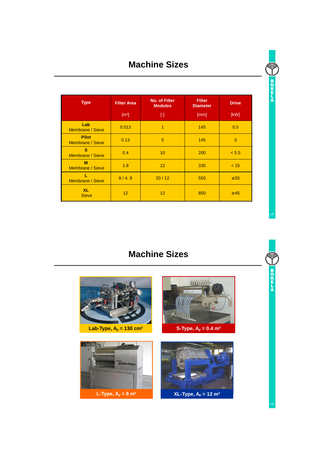**Machine Sizes**

**PLEXOR** 

**BOKEN** 

| <b>Type</b>                             | <b>Filter Area</b> | No. of Filter<br><b>Modules</b> | <b>Filter</b><br><b>Diameter</b> | <b>Drive</b> |
|-----------------------------------------|--------------------|---------------------------------|----------------------------------|--------------|
|                                         | [m <sup>2</sup> ]  | $[\cdot]$                       | [mm]                             | [kW]         |
| Lab<br><b>Membrane / Sieve</b>          | 0.013              | 1                               | 145                              | 0.5          |
| <b>Pilot</b><br><b>Membrane / Sieve</b> | 0.13               | 5                               | 145                              | 3            |
| s<br><b>Membrane / Sieve</b>            | 0.4                | 10                              | 200                              | < 5.5        |
| M<br><b>Membrane / Sieve</b>            | 1.8                | 12 <sup>2</sup>                 | 335                              | < 15         |
| <b>Membrane / Sieve</b>                 | 8/4.8              | 20/12                           | 550                              | $\leq 55$    |
| <b>XL</b><br><b>Sieve</b>               | 12                 | 12                              | 850                              | $\geq 45$    |

**Machine Sizes**